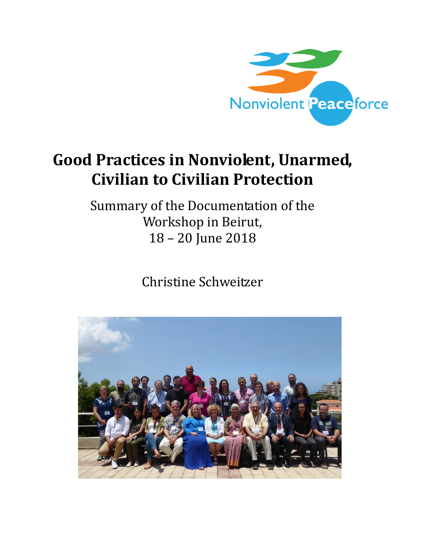

## **Good Practices in Nonviolent, Unarmed, Civilian to Civilian Protection**

Summary of the Documentation of the Workshop in Beirut, 18 – 20 June 2018

Christine Schweitzer

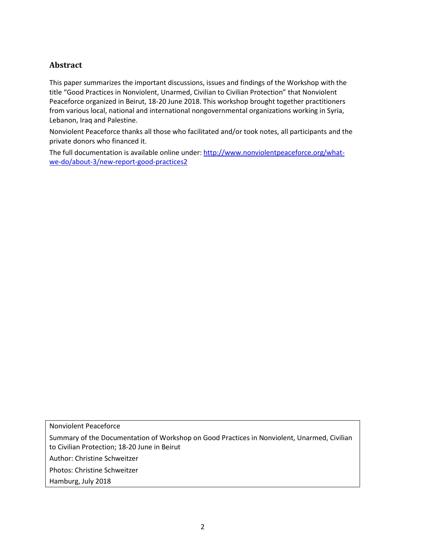## **Abstract**

This paper summarizes the important discussions, issues and findings of the Workshop with the title "Good Practices in Nonviolent, Unarmed, Civilian to Civilian Protection" that Nonviolent Peaceforce organized in Beirut, 18-20 June 2018. This workshop brought together practitioners from various local, national and international nongovernmental organizations working in Syria, Lebanon, Iraq and Palestine.

Nonviolent Peaceforce thanks all those who facilitated and/or took notes, all participants and the private donors who financed it.

The full documentation is available online under: [http://www.nonviolentpeaceforce.org/what](http://www.nonviolentpeaceforce.org/what-we-do/about-3/new-report-good-practices2)[we-do/about-3/new-report-good-practices2](http://www.nonviolentpeaceforce.org/what-we-do/about-3/new-report-good-practices2)

Nonviolent Peaceforce

Summary of the Documentation of Workshop on Good Practices in Nonviolent, Unarmed, Civilian to Civilian Protection; 18-20 June in Beirut

Author: Christine Schweitzer

Photos: Christine Schweitzer

Hamburg, July 2018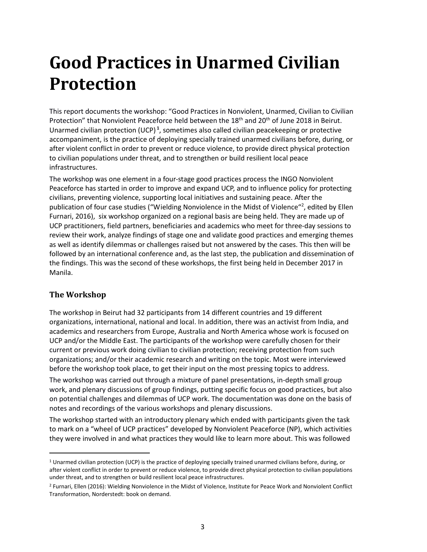## **Good Practices in Unarmed Civilian Protection**

This report documents the workshop: "Good Practices in Nonviolent, Unarmed, Civilian to Civilian Protection" that Nonviolent Peaceforce held between the 18<sup>th</sup> and 20<sup>th</sup> of June 2018 in Beirut. Unarmed civilian protection (UCP) **<sup>1</sup>** , sometimes also called civilian peacekeeping or protective accompaniment, is the practice of deploying specially trained unarmed civilians before, during, or after violent conflict in order to prevent or reduce violence, to provide direct physical protection to civilian populations under threat, and to strengthen or build resilient local peace infrastructures.

The workshop was one element in a four-stage good practices process the INGO Nonviolent Peaceforce has started in order to improve and expand UCP, and to influence policy for protecting civilians, preventing violence, supporting local initiatives and sustaining peace. After the publication of four case studies ("Wielding Nonviolence in the Midst of Violence"<sup>2</sup>, edited by Ellen Furnari, 2016), six workshop organized on a regional basis are being held. They are made up of UCP practitioners, field partners, beneficiaries and academics who meet for three-day sessions to review their work, analyze findings of stage one and validate good practices and emerging themes as well as identify dilemmas or challenges raised but not answered by the cases. This then will be followed by an international conference and, as the last step, the publication and dissemination of the findings. This was the second of these workshops, the first being held in December 2017 in Manila.

## **The Workshop**

 $\overline{a}$ 

The workshop in Beirut had 32 participants from 14 different countries and 19 different organizations, international, national and local. In addition, there was an activist from India, and academics and researchers from Europe, Australia and North America whose work is focused on UCP and/or the Middle East. The participants of the workshop were carefully chosen for their current or previous work doing civilian to civilian protection; receiving protection from such organizations; and/or their academic research and writing on the topic. Most were interviewed before the workshop took place, to get their input on the most pressing topics to address.

The workshop was carried out through a mixture of panel presentations, in-depth small group work, and plenary discussions of group findings, putting specific focus on good practices, but also on potential challenges and dilemmas of UCP work. The documentation was done on the basis of notes and recordings of the various workshops and plenary discussions.

The workshop started with an introductory plenary which ended with participants given the task to mark on a "wheel of UCP practices" developed by Nonviolent Peaceforce (NP), which activities they were involved in and what practices they would like to learn more about. This was followed

<sup>1</sup> Unarmed civilian protection (UCP) is the practice of deploying specially trained unarmed civilians before, during, or after violent conflict in order to prevent or reduce violence, to provide direct physical protection to civilian populations under threat, and to strengthen or build resilient local peace infrastructures.

<sup>2</sup> Furnari, Ellen (2016): Wielding Nonviolence in the Midst of Violence, Institute for Peace Work and Nonviolent Conflict Transformation, Norderstedt: book on demand.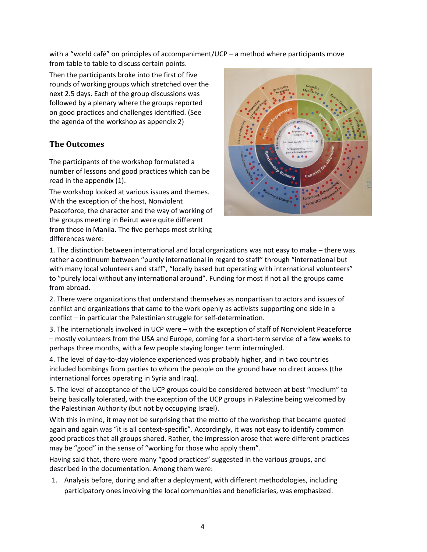with a "world café" on principles of accompaniment/UCP – a method where participants move from table to table to discuss certain points.

Then the participants broke into the first of five rounds of working groups which stretched over the next 2.5 days. Each of the group discussions was followed by a plenary where the groups reported on good practices and challenges identified. (See the agenda of the workshop as appendix 2)

## **The Outcomes**

The participants of the workshop formulated a number of lessons and good practices which can be read in the appendix (1).

The workshop looked at various issues and themes. With the exception of the host, Nonviolent Peaceforce, the character and the way of working of the groups meeting in Beirut were quite different from those in Manila. The five perhaps most striking differences were:



1. The distinction between international and local organizations was not easy to make – there was rather a continuum between "purely international in regard to staff" through "international but with many local volunteers and staff", "locally based but operating with international volunteers" to "purely local without any international around". Funding for most if not all the groups came from abroad.

2. There were organizations that understand themselves as nonpartisan to actors and issues of conflict and organizations that came to the work openly as activists supporting one side in a conflict – in particular the Palestinian struggle for self-determination.

3. The internationals involved in UCP were – with the exception of staff of Nonviolent Peaceforce – mostly volunteers from the USA and Europe, coming for a short-term service of a few weeks to perhaps three months, with a few people staying longer term intermingled.

4. The level of day-to-day violence experienced was probably higher, and in two countries included bombings from parties to whom the people on the ground have no direct access (the international forces operating in Syria and Iraq).

5. The level of acceptance of the UCP groups could be considered between at best "medium" to being basically tolerated, with the exception of the UCP groups in Palestine being welcomed by the Palestinian Authority (but not by occupying Israel).

With this in mind, it may not be surprising that the motto of the workshop that became quoted again and again was "it is all context-specific". Accordingly, it was not easy to identify common good practices that all groups shared. Rather, the impression arose that were different practices may be "good" in the sense of "working for those who apply them".

Having said that, there were many "good practices" suggested in the various groups, and described in the documentation. Among them were:

1. Analysis before, during and after a deployment, with different methodologies, including participatory ones involving the local communities and beneficiaries, was emphasized.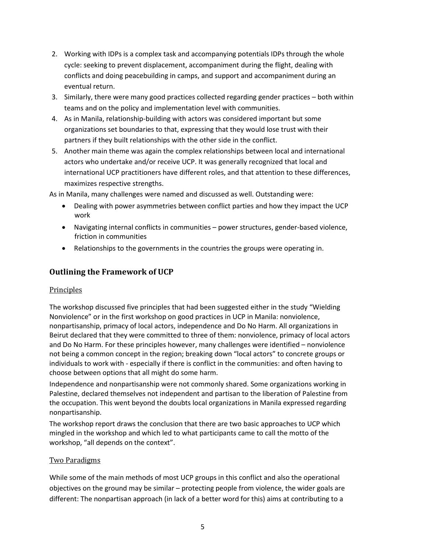- 2. Working with IDPs is a complex task and accompanying potentials IDPs through the whole cycle: seeking to prevent displacement, accompaniment during the flight, dealing with conflicts and doing peacebuilding in camps, and support and accompaniment during an eventual return.
- 3. Similarly, there were many good practices collected regarding gender practices both within teams and on the policy and implementation level with communities.
- 4. As in Manila, relationship-building with actors was considered important but some organizations set boundaries to that, expressing that they would lose trust with their partners if they built relationships with the other side in the conflict.
- 5. Another main theme was again the complex relationships between local and international actors who undertake and/or receive UCP. It was generally recognized that local and international UCP practitioners have different roles, and that attention to these differences, maximizes respective strengths.

As in Manila, many challenges were named and discussed as well. Outstanding were:

- Dealing with power asymmetries between conflict parties and how they impact the UCP work
- Navigating internal conflicts in communities power structures, gender-based violence, friction in communities
- Relationships to the governments in the countries the groups were operating in.

## **Outlining the Framework of UCP**

### Principles

The workshop discussed five principles that had been suggested either in the study "Wielding Nonviolence" or in the first workshop on good practices in UCP in Manila: nonviolence, nonpartisanship, primacy of local actors, independence and Do No Harm. All organizations in Beirut declared that they were committed to three of them: nonviolence, primacy of local actors and Do No Harm. For these principles however, many challenges were identified – nonviolence not being a common concept in the region; breaking down "local actors" to concrete groups or individuals to work with - especially if there is conflict in the communities: and often having to choose between options that all might do some harm.

Independence and nonpartisanship were not commonly shared. Some organizations working in Palestine, declared themselves not independent and partisan to the liberation of Palestine from the occupation. This went beyond the doubts local organizations in Manila expressed regarding nonpartisanship.

The workshop report draws the conclusion that there are two basic approaches to UCP which mingled in the workshop and which led to what participants came to call the motto of the workshop, "all depends on the context".

### Two Paradigms

While some of the main methods of most UCP groups in this conflict and also the operational objectives on the ground may be similar – protecting people from violence, the wider goals are different: The nonpartisan approach (in lack of a better word for this) aims at contributing to a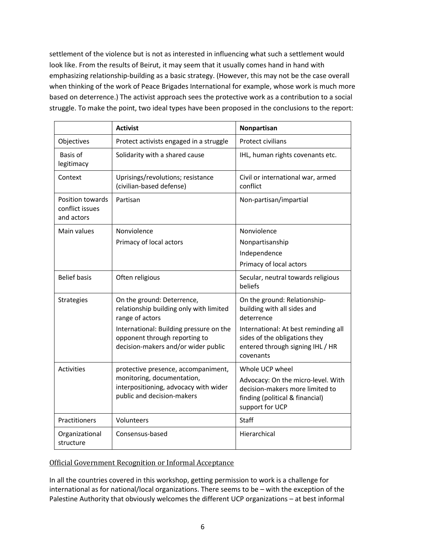settlement of the violence but is not as interested in influencing what such a settlement would look like. From the results of Beirut, it may seem that it usually comes hand in hand with emphasizing relationship-building as a basic strategy. (However, this may not be the case overall when thinking of the work of Peace Brigades International for example, whose work is much more based on deterrence.) The activist approach sees the protective work as a contribution to a social struggle. To make the point, two ideal types have been proposed in the conclusions to the report:

|                                                   | <b>Activist</b>                                                                                                                          | Nonpartisan                                                                                                                 |  |
|---------------------------------------------------|------------------------------------------------------------------------------------------------------------------------------------------|-----------------------------------------------------------------------------------------------------------------------------|--|
| Objectives                                        | Protect activists engaged in a struggle                                                                                                  | <b>Protect civilians</b>                                                                                                    |  |
| Basis of<br>legitimacy                            | Solidarity with a shared cause                                                                                                           | IHL, human rights covenants etc.                                                                                            |  |
| Context                                           | Uprisings/revolutions; resistance<br>(civilian-based defense)                                                                            | Civil or international war, armed<br>conflict                                                                               |  |
| Position towards<br>conflict issues<br>and actors | Partisan                                                                                                                                 | Non-partisan/impartial                                                                                                      |  |
| Main values                                       | Nonviolence                                                                                                                              | Nonviolence                                                                                                                 |  |
|                                                   | Primacy of local actors                                                                                                                  | Nonpartisanship                                                                                                             |  |
|                                                   |                                                                                                                                          | Independence                                                                                                                |  |
|                                                   |                                                                                                                                          | Primacy of local actors                                                                                                     |  |
| <b>Belief basis</b>                               | Often religious                                                                                                                          | Secular, neutral towards religious<br>beliefs                                                                               |  |
| Strategies                                        | On the ground: Deterrence,<br>relationship building only with limited<br>range of actors                                                 | On the ground: Relationship-<br>building with all sides and<br>deterrence                                                   |  |
|                                                   | International: Building pressure on the<br>opponent through reporting to<br>decision-makers and/or wider public                          | International: At best reminding all<br>sides of the obligations they<br>entered through signing IHL / HR<br>covenants      |  |
| <b>Activities</b>                                 | protective presence, accompaniment,<br>monitoring, documentation,<br>interpositioning, advocacy with wider<br>public and decision-makers | Whole UCP wheel                                                                                                             |  |
|                                                   |                                                                                                                                          | Advocacy: On the micro-level. With<br>decision-makers more limited to<br>finding (political & financial)<br>support for UCP |  |
| Practitioners                                     | Volunteers                                                                                                                               | Staff                                                                                                                       |  |
| Organizational<br>structure                       | Consensus-based                                                                                                                          | Hierarchical                                                                                                                |  |

### Official Government Recognition or Informal Acceptance

In all the countries covered in this workshop, getting permission to work is a challenge for international as for national/local organizations. There seems to be – with the exception of the Palestine Authority that obviously welcomes the different UCP organizations – at best informal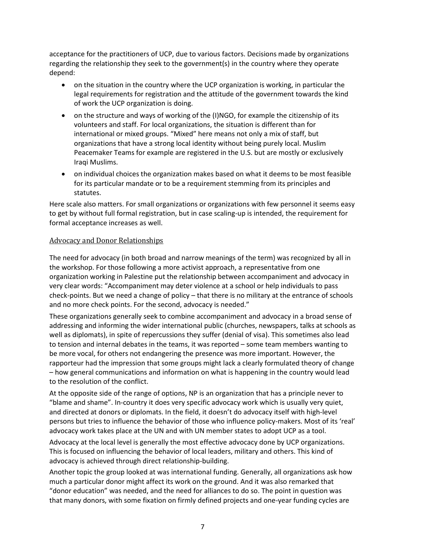acceptance for the practitioners of UCP, due to various factors. Decisions made by organizations regarding the relationship they seek to the government(s) in the country where they operate depend:

- on the situation in the country where the UCP organization is working, in particular the legal requirements for registration and the attitude of the government towards the kind of work the UCP organization is doing.
- on the structure and ways of working of the (I)NGO, for example the citizenship of its volunteers and staff. For local organizations, the situation is different than for international or mixed groups. "Mixed" here means not only a mix of staff, but organizations that have a strong local identity without being purely local. Muslim Peacemaker Teams for example are registered in the U.S. but are mostly or exclusively Iraqi Muslims.
- on individual choices the organization makes based on what it deems to be most feasible for its particular mandate or to be a requirement stemming from its principles and statutes.

Here scale also matters. For small organizations or organizations with few personnel it seems easy to get by without full formal registration, but in case scaling-up is intended, the requirement for formal acceptance increases as well.

### Advocacy and Donor Relationships

The need for advocacy (in both broad and narrow meanings of the term) was recognized by all in the workshop. For those following a more activist approach, a representative from one organization working in Palestine put the relationship between accompaniment and advocacy in very clear words: "Accompaniment may deter violence at a school or help individuals to pass check-points. But we need a change of policy – that there is no military at the entrance of schools and no more check points. For the second, advocacy is needed."

These organizations generally seek to combine accompaniment and advocacy in a broad sense of addressing and informing the wider international public (churches, newspapers, talks at schools as well as diplomats), in spite of repercussions they suffer (denial of visa). This sometimes also lead to tension and internal debates in the teams, it was reported – some team members wanting to be more vocal, for others not endangering the presence was more important. However, the rapporteur had the impression that some groups might lack a clearly formulated theory of change – how general communications and information on what is happening in the country would lead to the resolution of the conflict.

At the opposite side of the range of options, NP is an organization that has a principle never to "blame and shame". In-country it does very specific advocacy work which is usually very quiet, and directed at donors or diplomats. In the field, it doesn't do advocacy itself with high-level persons but tries to influence the behavior of those who influence policy-makers. Most of its 'real' advocacy work takes place at the UN and with UN member states to adopt UCP as a tool.

Advocacy at the local level is generally the most effective advocacy done by UCP organizations. This is focused on influencing the behavior of local leaders, military and others. This kind of advocacy is achieved through direct relationship-building.

Another topic the group looked at was international funding. Generally, all organizations ask how much a particular donor might affect its work on the ground. And it was also remarked that "donor education" was needed, and the need for alliances to do so. The point in question was that many donors, with some fixation on firmly defined projects and one-year funding cycles are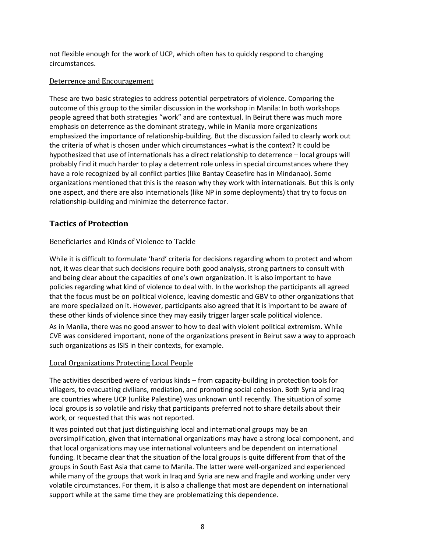not flexible enough for the work of UCP, which often has to quickly respond to changing circumstances.

### Deterrence and Encouragement

These are two basic strategies to address potential perpetrators of violence. Comparing the outcome of this group to the similar discussion in the workshop in Manila: In both workshops people agreed that both strategies "work" and are contextual. In Beirut there was much more emphasis on deterrence as the dominant strategy, while in Manila more organizations emphasized the importance of relationship-building. But the discussion failed to clearly work out the criteria of what is chosen under which circumstances –what is the context? It could be hypothesized that use of internationals has a direct relationship to deterrence – local groups will probably find it much harder to play a deterrent role unless in special circumstances where they have a role recognized by all conflict parties (like Bantay Ceasefire has in Mindanao). Some organizations mentioned that this is the reason why they work with internationals. But this is only one aspect, and there are also internationals (like NP in some deployments) that try to focus on relationship-building and minimize the deterrence factor.

## **Tactics of Protection**

### Beneficiaries and Kinds of Violence to Tackle

While it is difficult to formulate 'hard' criteria for decisions regarding whom to protect and whom not, it was clear that such decisions require both good analysis, strong partners to consult with and being clear about the capacities of one's own organization. It is also important to have policies regarding what kind of violence to deal with. In the workshop the participants all agreed that the focus must be on political violence, leaving domestic and GBV to other organizations that are more specialized on it. However, participants also agreed that it is important to be aware of these other kinds of violence since they may easily trigger larger scale political violence.

As in Manila, there was no good answer to how to deal with violent political extremism. While CVE was considered important, none of the organizations present in Beirut saw a way to approach such organizations as ISIS in their contexts, for example.

### Local Organizations Protecting Local People

The activities described were of various kinds – from capacity-building in protection tools for villagers, to evacuating civilians, mediation, and promoting social cohesion. Both Syria and Iraq are countries where UCP (unlike Palestine) was unknown until recently. The situation of some local groups is so volatile and risky that participants preferred not to share details about their work, or requested that this was not reported.

It was pointed out that just distinguishing local and international groups may be an oversimplification, given that international organizations may have a strong local component, and that local organizations may use international volunteers and be dependent on international funding. It became clear that the situation of the local groups is quite different from that of the groups in South East Asia that came to Manila. The latter were well-organized and experienced while many of the groups that work in Iraq and Syria are new and fragile and working under very volatile circumstances. For them, it is also a challenge that most are dependent on international support while at the same time they are problematizing this dependence.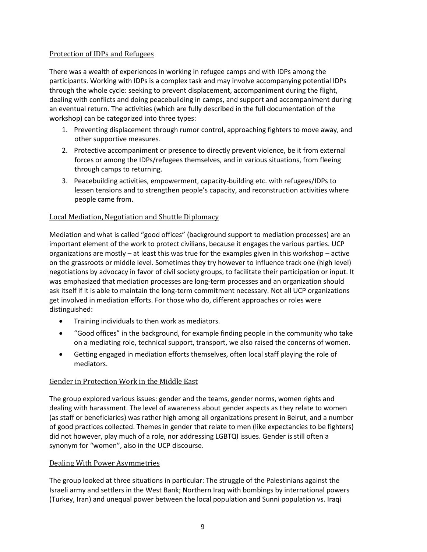### Protection of IDPs and Refugees

There was a wealth of experiences in working in refugee camps and with IDPs among the participants. Working with IDPs is a complex task and may involve accompanying potential IDPs through the whole cycle: seeking to prevent displacement, accompaniment during the flight, dealing with conflicts and doing peacebuilding in camps, and support and accompaniment during an eventual return. The activities (which are fully described in the full documentation of the workshop) can be categorized into three types:

- 1. Preventing displacement through rumor control, approaching fighters to move away, and other supportive measures.
- 2. Protective accompaniment or presence to directly prevent violence, be it from external forces or among the IDPs/refugees themselves, and in various situations, from fleeing through camps to returning.
- 3. Peacebuilding activities, empowerment, capacity-building etc. with refugees/IDPs to lessen tensions and to strengthen people's capacity, and reconstruction activities where people came from.

### Local Mediation, Negotiation and Shuttle Diplomacy

Mediation and what is called "good offices" (background support to mediation processes) are an important element of the work to protect civilians, because it engages the various parties. UCP organizations are mostly – at least this was true for the examples given in this workshop – active on the grassroots or middle level. Sometimes they try however to influence track one (high level) negotiations by advocacy in favor of civil society groups, to facilitate their participation or input. It was emphasized that mediation processes are long-term processes and an organization should ask itself if it is able to maintain the long-term commitment necessary. Not all UCP organizations get involved in mediation efforts. For those who do, different approaches or roles were distinguished:

- Training individuals to then work as mediators.
- "Good offices" in the background, for example finding people in the community who take on a mediating role, technical support, transport, we also raised the concerns of women.
- Getting engaged in mediation efforts themselves, often local staff playing the role of mediators.

### Gender in Protection Work in the Middle East

The group explored various issues: gender and the teams, gender norms, women rights and dealing with harassment. The level of awareness about gender aspects as they relate to women (as staff or beneficiaries) was rather high among all organizations present in Beirut, and a number of good practices collected. Themes in gender that relate to men (like expectancies to be fighters) did not however, play much of a role, nor addressing LGBTQI issues. Gender is still often a synonym for "women", also in the UCP discourse.

### Dealing With Power Asymmetries

The group looked at three situations in particular: The struggle of the Palestinians against the Israeli army and settlers in the West Bank; Northern Iraq with bombings by international powers (Turkey, Iran) and unequal power between the local population and Sunni population vs. Iraqi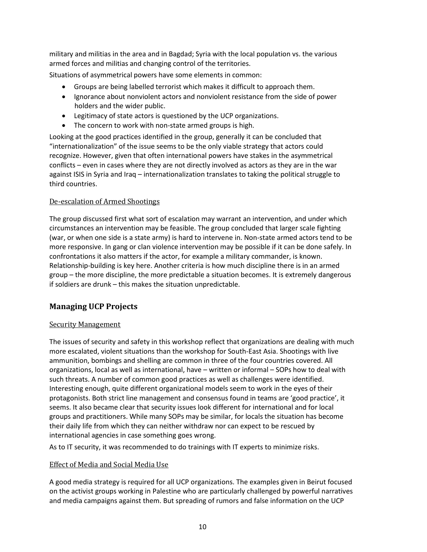military and militias in the area and in Bagdad; Syria with the local population vs. the various armed forces and militias and changing control of the territories.

Situations of asymmetrical powers have some elements in common:

- Groups are being labelled terrorist which makes it difficult to approach them.
- Ignorance about nonviolent actors and nonviolent resistance from the side of power holders and the wider public.
- Legitimacy of state actors is questioned by the UCP organizations.
- The concern to work with non-state armed groups is high.

Looking at the good practices identified in the group, generally it can be concluded that "internationalization" of the issue seems to be the only viable strategy that actors could recognize. However, given that often international powers have stakes in the asymmetrical conflicts – even in cases where they are not directly involved as actors as they are in the war against ISIS in Syria and Iraq – internationalization translates to taking the political struggle to third countries.

### De-escalation of Armed Shootings

The group discussed first what sort of escalation may warrant an intervention, and under which circumstances an intervention may be feasible. The group concluded that larger scale fighting (war, or when one side is a state army) is hard to intervene in. Non-state armed actors tend to be more responsive. In gang or clan violence intervention may be possible if it can be done safely. In confrontations it also matters if the actor, for example a military commander, is known. Relationship-building is key here. Another criteria is how much discipline there is in an armed group – the more discipline, the more predictable a situation becomes. It is extremely dangerous if soldiers are drunk – this makes the situation unpredictable.

### **Managing UCP Projects**

### Security Management

The issues of security and safety in this workshop reflect that organizations are dealing with much more escalated, violent situations than the workshop for South-East Asia. Shootings with live ammunition, bombings and shelling are common in three of the four countries covered. All organizations, local as well as international, have – written or informal – SOPs how to deal with such threats. A number of common good practices as well as challenges were identified. Interesting enough, quite different organizational models seem to work in the eyes of their protagonists. Both strict line management and consensus found in teams are 'good practice', it seems. It also became clear that security issues look different for international and for local groups and practitioners. While many SOPs may be similar, for locals the situation has become their daily life from which they can neither withdraw nor can expect to be rescued by international agencies in case something goes wrong.

As to IT security, it was recommended to do trainings with IT experts to minimize risks.

### Effect of Media and Social Media Use

A good media strategy is required for all UCP organizations. The examples given in Beirut focused on the activist groups working in Palestine who are particularly challenged by powerful narratives and media campaigns against them. But spreading of rumors and false information on the UCP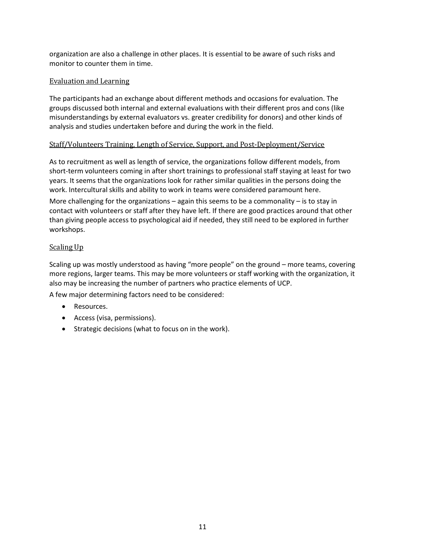organization are also a challenge in other places. It is essential to be aware of such risks and monitor to counter them in time.

### Evaluation and Learning

The participants had an exchange about different methods and occasions for evaluation. The groups discussed both internal and external evaluations with their different pros and cons (like misunderstandings by external evaluators vs. greater credibility for donors) and other kinds of analysis and studies undertaken before and during the work in the field.

### Staff/Volunteers Training, Length of Service, Support, and Post-Deployment/Service

As to recruitment as well as length of service, the organizations follow different models, from short-term volunteers coming in after short trainings to professional staff staying at least for two years. It seems that the organizations look for rather similar qualities in the persons doing the work. Intercultural skills and ability to work in teams were considered paramount here.

More challenging for the organizations  $-$  again this seems to be a commonality  $-$  is to stay in contact with volunteers or staff after they have left. If there are good practices around that other than giving people access to psychological aid if needed, they still need to be explored in further workshops.

### Scaling Up

Scaling up was mostly understood as having "more people" on the ground – more teams, covering more regions, larger teams. This may be more volunteers or staff working with the organization, it also may be increasing the number of partners who practice elements of UCP.

A few major determining factors need to be considered:

- Resources.
- Access (visa, permissions).
- Strategic decisions (what to focus on in the work).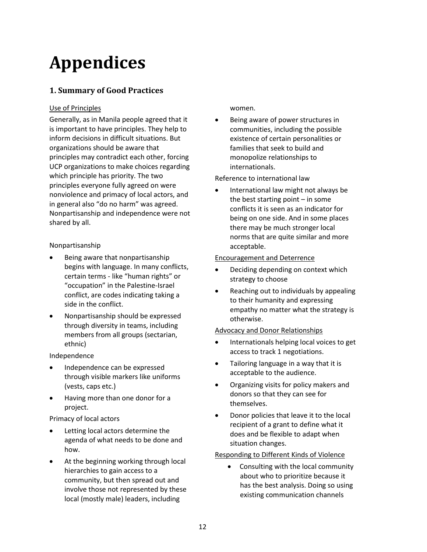# **Appendices**

## **1. Summary of Good Practices**

### Use of Principles

Generally, as in Manila people agreed that it is important to have principles. They help to inform decisions in difficult situations. But organizations should be aware that principles may contradict each other, forcing UCP organizations to make choices regarding which principle has priority. The two principles everyone fully agreed on were nonviolence and primacy of local actors, and in general also "do no harm" was agreed. Nonpartisanship and independence were not shared by all.

### Nonpartisanship

- Being aware that nonpartisanship begins with language. In many conflicts, certain terms - like "human rights" or "occupation" in the Palestine-Israel conflict, are codes indicating taking a side in the conflict.
- Nonpartisanship should be expressed through diversity in teams, including members from all groups (sectarian, ethnic)

### Independence

- Independence can be expressed through visible markers like uniforms (vests, caps etc.)
- Having more than one donor for a project.

Primacy of local actors

- Letting local actors determine the agenda of what needs to be done and how.
- At the beginning working through local hierarchies to gain access to a community, but then spread out and involve those not represented by these local (mostly male) leaders, including

women.

 Being aware of power structures in communities, including the possible existence of certain personalities or families that seek to build and monopolize relationships to internationals.

Reference to international law

 International law might not always be the best starting point – in some conflicts it is seen as an indicator for being on one side. And in some places there may be much stronger local norms that are quite similar and more acceptable.

### Encouragement and Deterrence

- Deciding depending on context which strategy to choose
- Reaching out to individuals by appealing to their humanity and expressing empathy no matter what the strategy is otherwise.

### Advocacy and Donor Relationships

- Internationals helping local voices to get access to track 1 negotiations.
- Tailoring language in a way that it is acceptable to the audience.
- Organizing visits for policy makers and donors so that they can see for themselves.
- Donor policies that leave it to the local recipient of a grant to define what it does and be flexible to adapt when situation changes.

### Responding to Different Kinds of Violence

 Consulting with the local community about who to prioritize because it has the best analysis. Doing so using existing communication channels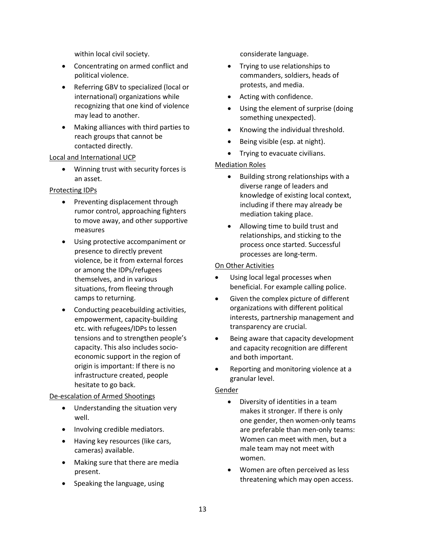within local civil society.

- Concentrating on armed conflict and political violence.
- Referring GBV to specialized (local or international) organizations while recognizing that one kind of violence may lead to another.
- Making alliances with third parties to reach groups that cannot be contacted directly.

#### Local and International UCP

 Winning trust with security forces is an asset.

### Protecting IDPs

- Preventing displacement through rumor control, approaching fighters to move away, and other supportive measures
- Using protective accompaniment or presence to directly prevent violence, be it from external forces or among the IDPs/refugees themselves, and in various situations, from fleeing through camps to returning.
- Conducting peacebuilding activities, empowerment, capacity-building etc. with refugees/IDPs to lessen tensions and to strengthen people's capacity. This also includes socioeconomic support in the region of origin is important: If there is no infrastructure created, people hesitate to go back.

### De-escalation of Armed Shootings

- Understanding the situation very well.
- Involving credible mediators.
- Having key resources (like cars, cameras) available.
- Making sure that there are media present.
- Speaking the language, using

considerate language.

- Trying to use relationships to commanders, soldiers, heads of protests, and media.
- Acting with confidence.
- Using the element of surprise (doing something unexpected).
- Knowing the individual threshold.
- Being visible (esp. at night).
- Trying to evacuate civilians.

### Mediation Roles

- Building strong relationships with a diverse range of leaders and knowledge of existing local context, including if there may already be mediation taking place.
- Allowing time to build trust and relationships, and sticking to the process once started. Successful processes are long-term.

#### On Other Activities

- Using local legal processes when beneficial. For example calling police.
- Given the complex picture of different organizations with different political interests, partnership management and transparency are crucial.
- Being aware that capacity development and capacity recognition are different and both important.
- Reporting and monitoring violence at a granular level.

### Gender

- Diversity of identities in a team makes it stronger. If there is only one gender, then women-only teams are preferable than men-only teams: Women can meet with men, but a male team may not meet with women.
- Women are often perceived as less threatening which may open access.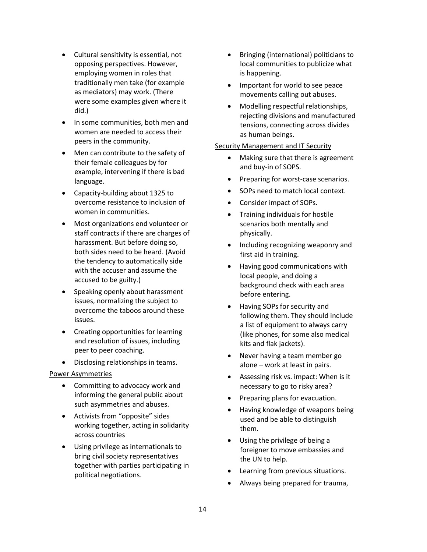- Cultural sensitivity is essential, not opposing perspectives. However, employing women in roles that traditionally men take (for example as mediators) may work. (There were some examples given where it did.)
- In some communities, both men and women are needed to access their peers in the community.
- Men can contribute to the safety of their female colleagues by for example, intervening if there is bad language.
- Capacity-building about 1325 to overcome resistance to inclusion of women in communities.
- Most organizations end volunteer or staff contracts if there are charges of harassment. But before doing so, both sides need to be heard. (Avoid the tendency to automatically side with the accuser and assume the accused to be guilty.)
- Speaking openly about harassment issues, normalizing the subject to overcome the taboos around these issues.
- Creating opportunities for learning and resolution of issues, including peer to peer coaching.
- Disclosing relationships in teams.

### Power Asymmetries

- Committing to advocacy work and informing the general public about such asymmetries and abuses.
- Activists from "opposite" sides working together, acting in solidarity across countries
- Using privilege as internationals to bring civil society representatives together with parties participating in political negotiations.
- Bringing (international) politicians to local communities to publicize what is happening.
- Important for world to see peace movements calling out abuses.
- Modelling respectful relationships, rejecting divisions and manufactured tensions, connecting across divides as human beings.

### **Security Management and IT Security**

- Making sure that there is agreement and buy-in of SOPS.
- Preparing for worst-case scenarios.
- SOPs need to match local context.
- Consider impact of SOPs.
- Training individuals for hostile scenarios both mentally and physically.
- Including recognizing weaponry and first aid in training.
- Having good communications with local people, and doing a background check with each area before entering.
- Having SOPs for security and following them. They should include a list of equipment to always carry (like phones, for some also medical kits and flak jackets).
- Never having a team member go alone – work at least in pairs.
- Assessing risk vs. impact: When is it necessary to go to risky area?
- Preparing plans for evacuation.
- Having knowledge of weapons being used and be able to distinguish them.
- Using the privilege of being a foreigner to move embassies and the UN to help.
- Learning from previous situations.
- Always being prepared for trauma,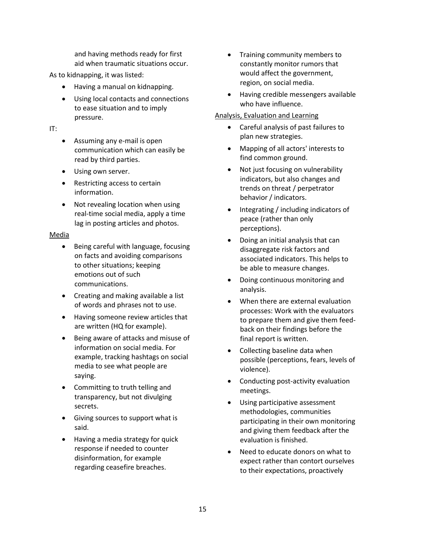and having methods ready for first aid when traumatic situations occur.

As to kidnapping, it was listed:

- Having a manual on kidnapping.
- Using local contacts and connections to ease situation and to imply pressure.

IT:

- Assuming any e-mail is open communication which can easily be read by third parties.
- Using own server.
- Restricting access to certain information.
- Not revealing location when using real-time social media, apply a time lag in posting articles and photos.

### Media

- Being careful with language, focusing on facts and avoiding comparisons to other situations; keeping emotions out of such communications.
- Creating and making available a list of words and phrases not to use.
- Having someone review articles that are written (HQ for example).
- Being aware of attacks and misuse of information on social media. For example, tracking hashtags on social media to see what people are saying.
- Committing to truth telling and transparency, but not divulging secrets.
- Giving sources to support what is said.
- Having a media strategy for quick response if needed to counter disinformation, for example regarding ceasefire breaches.
- Training community members to constantly monitor rumors that would affect the government, region, on social media.
- Having credible messengers available who have influence.

### Analysis, Evaluation and Learning

- Careful analysis of past failures to plan new strategies.
- Mapping of all actors' interests to find common ground.
- Not just focusing on vulnerability indicators, but also changes and trends on threat / perpetrator behavior / indicators.
- Integrating / including indicators of peace (rather than only perceptions).
- Doing an initial analysis that can disaggregate risk factors and associated indicators. This helps to be able to measure changes.
- Doing continuous monitoring and analysis.
- When there are external evaluation processes: Work with the evaluators to prepare them and give them feedback on their findings before the final report is written.
- Collecting baseline data when possible (perceptions, fears, levels of violence).
- Conducting post-activity evaluation meetings.
- Using participative assessment methodologies, communities participating in their own monitoring and giving them feedback after the evaluation is finished.
- Need to educate donors on what to expect rather than contort ourselves to their expectations, proactively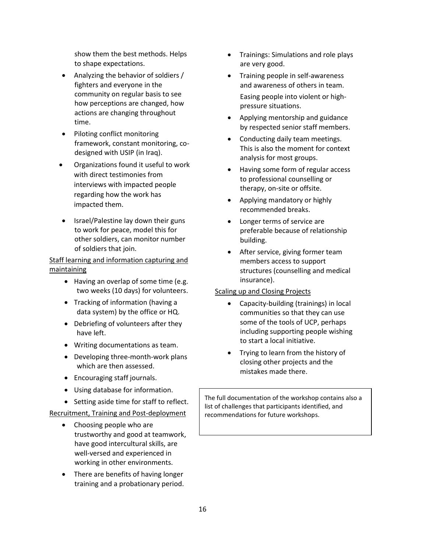show them the best methods. Helps to shape expectations.

- Analyzing the behavior of soldiers / fighters and everyone in the community on regular basis to see how perceptions are changed, how actions are changing throughout time.
- Piloting conflict monitoring framework, constant monitoring, codesigned with USIP (in Iraq).
- Organizations found it useful to work with direct testimonies from interviews with impacted people regarding how the work has impacted them.
- $\bullet$  Israel/Palestine lay down their guns to work for peace, model this for other soldiers, can monitor number of soldiers that join.

### Staff learning and information capturing and maintaining

- Having an overlap of some time (e.g. two weeks (10 days) for volunteers.
- Tracking of information (having a data system) by the office or HQ.
- Debriefing of volunteers after they have left.
- Writing documentations as team.
- Developing three-month-work plans which are then assessed.
- Encouraging staff journals.
- Using database for information.
- Setting aside time for staff to reflect.

### Recruitment, Training and Post-deployment

- Choosing people who are trustworthy and good at teamwork, have good intercultural skills, are well-versed and experienced in working in other environments.
- There are benefits of having longer training and a probationary period.
- Trainings: Simulations and role plays are very good.
- Training people in self-awareness and awareness of others in team. Easing people into violent or highpressure situations.
- Applying mentorship and guidance by respected senior staff members.
- Conducting daily team meetings. This is also the moment for context analysis for most groups.
- Having some form of regular access to professional counselling or therapy, on-site or offsite.
- Applying mandatory or highly recommended breaks.
- Longer terms of service are preferable because of relationship building.
- After service, giving former team members access to support structures (counselling and medical insurance).

### Scaling up and Closing Projects

- Capacity-building (trainings) in local communities so that they can use some of the tools of UCP, perhaps including supporting people wishing to start a local initiative.
- Trying to learn from the history of closing other projects and the mistakes made there.

The full documentation of the workshop contains also a list of challenges that participants identified, and recommendations for future workshops.